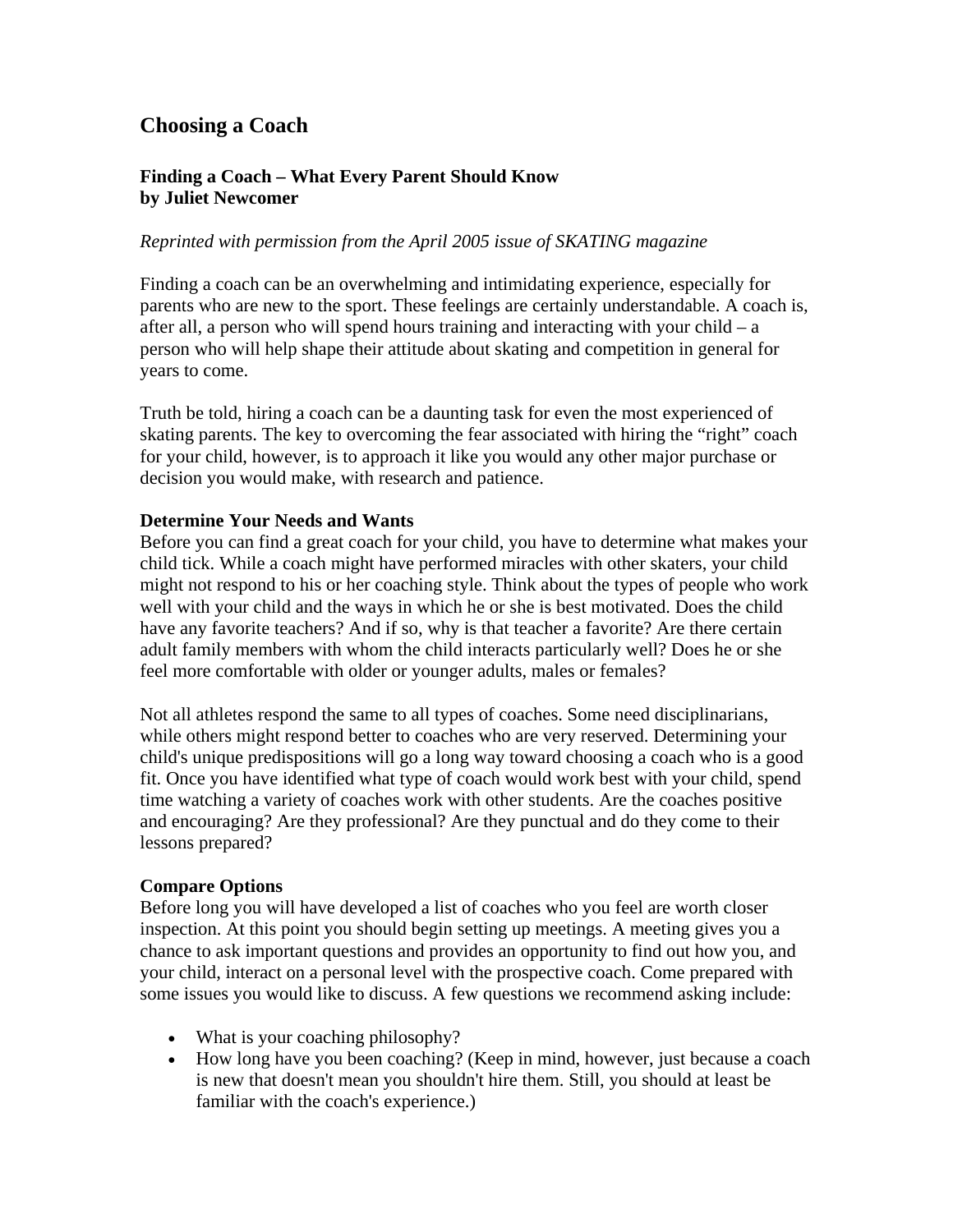# **Choosing a Coach**

## **Finding a Coach – What Every Parent Should Know by Juliet Newcomer**

### *Reprinted with permission from the April 2005 issue of SKATING magazine*

Finding a coach can be an overwhelming and intimidating experience, especially for parents who are new to the sport. These feelings are certainly understandable. A coach is, after all, a person who will spend hours training and interacting with your child  $-a$ person who will help shape their attitude about skating and competition in general for years to come.

Truth be told, hiring a coach can be a daunting task for even the most experienced of skating parents. The key to overcoming the fear associated with hiring the "right" coach for your child, however, is to approach it like you would any other major purchase or decision you would make, with research and patience.

### **Determine Your Needs and Wants**

Before you can find a great coach for your child, you have to determine what makes your child tick. While a coach might have performed miracles with other skaters, your child might not respond to his or her coaching style. Think about the types of people who work well with your child and the ways in which he or she is best motivated. Does the child have any favorite teachers? And if so, why is that teacher a favorite? Are there certain adult family members with whom the child interacts particularly well? Does he or she feel more comfortable with older or younger adults, males or females?

Not all athletes respond the same to all types of coaches. Some need disciplinarians, while others might respond better to coaches who are very reserved. Determining your child's unique predispositions will go a long way toward choosing a coach who is a good fit. Once you have identified what type of coach would work best with your child, spend time watching a variety of coaches work with other students. Are the coaches positive and encouraging? Are they professional? Are they punctual and do they come to their lessons prepared?

#### **Compare Options**

Before long you will have developed a list of coaches who you feel are worth closer inspection. At this point you should begin setting up meetings. A meeting gives you a chance to ask important questions and provides an opportunity to find out how you, and your child, interact on a personal level with the prospective coach. Come prepared with some issues you would like to discuss. A few questions we recommend asking include:

- What is your coaching philosophy?
- How long have you been coaching? (Keep in mind, however, just because a coach is new that doesn't mean you shouldn't hire them. Still, you should at least be familiar with the coach's experience.)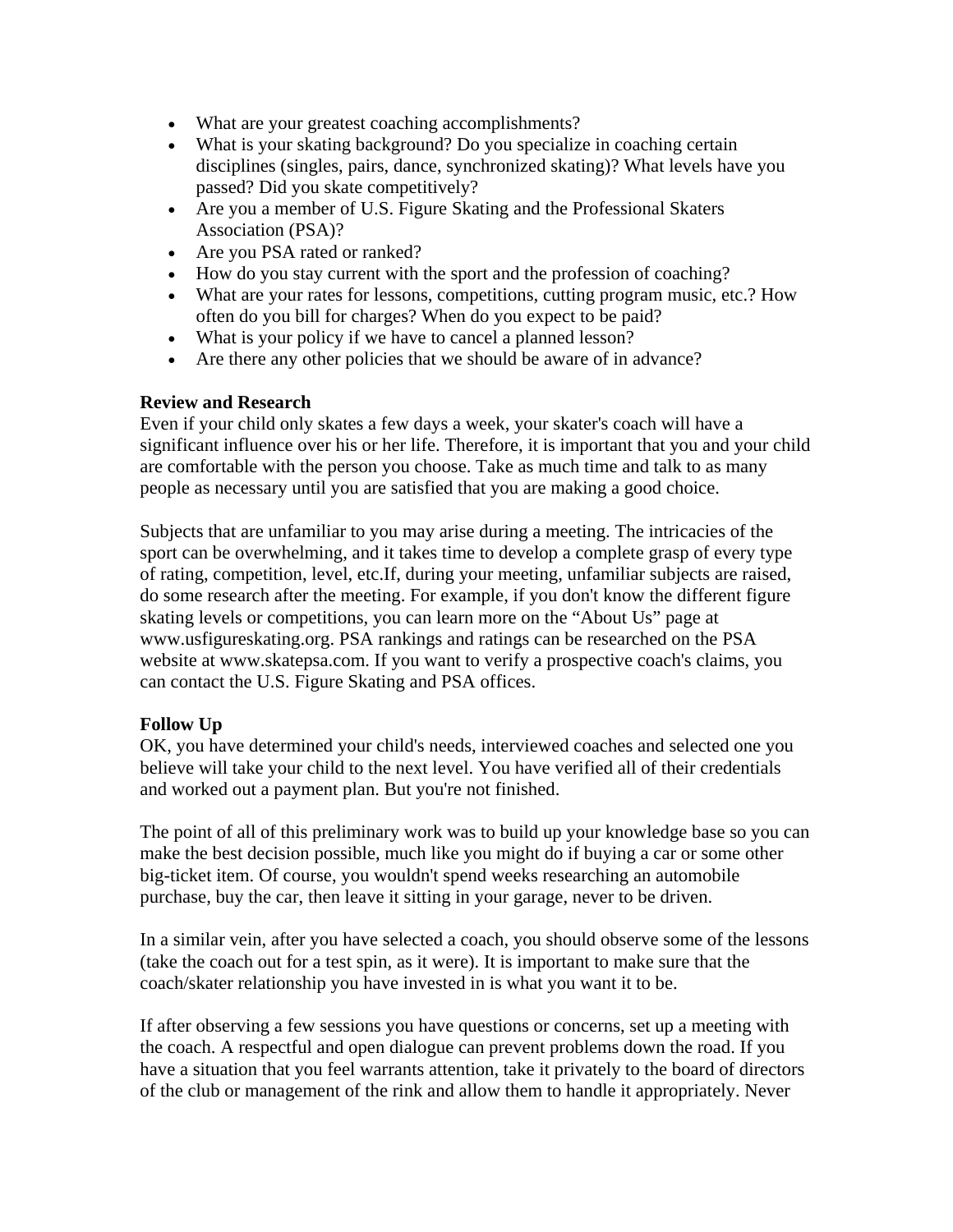- What are your greatest coaching accomplishments?
- What is your skating background? Do you specialize in coaching certain disciplines (singles, pairs, dance, synchronized skating)? What levels have you passed? Did you skate competitively?
- Are you a member of U.S. Figure Skating and the Professional Skaters Association (PSA)?
- Are you PSA rated or ranked?
- How do you stay current with the sport and the profession of coaching?
- What are your rates for lessons, competitions, cutting program music, etc.? How often do you bill for charges? When do you expect to be paid?
- What is your policy if we have to cancel a planned lesson?
- Are there any other policies that we should be aware of in advance?

## **Review and Research**

Even if your child only skates a few days a week, your skater's coach will have a significant influence over his or her life. Therefore, it is important that you and your child are comfortable with the person you choose. Take as much time and talk to as many people as necessary until you are satisfied that you are making a good choice.

Subjects that are unfamiliar to you may arise during a meeting. The intricacies of the sport can be overwhelming, and it takes time to develop a complete grasp of every type of rating, competition, level, etc.If, during your meeting, unfamiliar subjects are raised, do some research after the meeting. For example, if you don't know the different figure skating levels or competitions, you can learn more on the "About Us" page at www.usfigureskating.org. PSA rankings and ratings can be researched on the PSA website at www.skatepsa.com. If you want to verify a prospective coach's claims, you can contact the U.S. Figure Skating and PSA offices.

## **Follow Up**

OK, you have determined your child's needs, interviewed coaches and selected one you believe will take your child to the next level. You have verified all of their credentials and worked out a payment plan. But you're not finished.

The point of all of this preliminary work was to build up your knowledge base so you can make the best decision possible, much like you might do if buying a car or some other big-ticket item. Of course, you wouldn't spend weeks researching an automobile purchase, buy the car, then leave it sitting in your garage, never to be driven.

In a similar vein, after you have selected a coach, you should observe some of the lessons (take the coach out for a test spin, as it were). It is important to make sure that the coach/skater relationship you have invested in is what you want it to be.

If after observing a few sessions you have questions or concerns, set up a meeting with the coach. A respectful and open dialogue can prevent problems down the road. If you have a situation that you feel warrants attention, take it privately to the board of directors of the club or management of the rink and allow them to handle it appropriately. Never